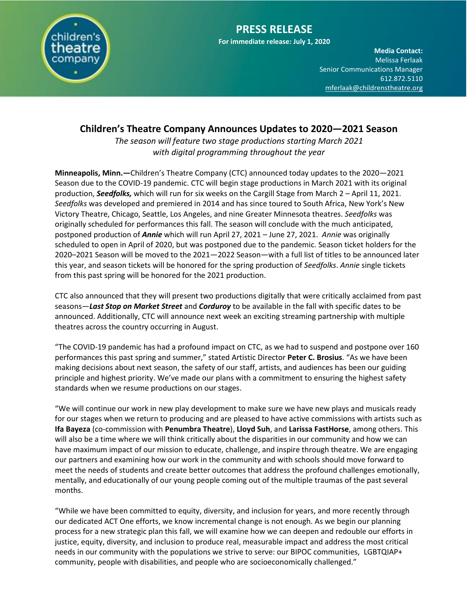

## **Children's Theatre Company Announces Updates to 2020—2021 Season**

*The season will feature two stage productions starting March 2021 with digital programming throughout the year*

**Minneapolis, Minn.—**Children's Theatre Company (CTC) announced today updates to the 2020—2021 Season due to the COVID-19 pandemic. CTC will begin stage productions in March 2021 with its original production, *Seedfolks,* which will run for six weeks on the Cargill Stage from March 2 – April 11, 2021. *Seedfolks* was developed and premiered in 2014 and has since toured to South Africa, New York's New Victory Theatre, Chicago, Seattle, Los Angeles, and nine Greater Minnesota theatres. *Seedfolks* was originally scheduled for performances this fall. The season will conclude with the much anticipated, postponed production of *Annie* which will run April 27, 2021 – June 27, 2021. *Annie* was originally scheduled to open in April of 2020, but was postponed due to the pandemic. Season ticket holders for the 2020–2021 Season will be moved to the 2021—2022 Season—with a full list of titles to be announced later this year, and season tickets will be honored for the spring production of *Seedfolks*. *Annie* single tickets from this past spring will be honored for the 2021 production.

CTC also announced that they will present two productions digitally that were critically acclaimed from past seasons—*Last Stop on Market Street* and *Corduroy* to be available in the fall with specific dates to be announced. Additionally, CTC will announce next week an exciting streaming partnership with multiple theatres across the country occurring in August.

"The COVID-19 pandemic has had a profound impact on CTC, as we had to suspend and postpone over 160 performances this past spring and summer," stated Artistic Director **Peter C. Brosius**. "As we have been making decisions about next season, the safety of our staff, artists, and audiences has been our guiding principle and highest priority. We've made our plans with a commitment to ensuring the highest safety standards when we resume productions on our stages.

"We will continue our work in new play development to make sure we have new plays and musicals ready for our stages when we return to producing and are pleased to have active commissions with artists such as **Ifa Bayeza** (co-commission with **Penumbra Theatre**), **Lloyd Suh**, and **Larissa FastHorse**, among others. This will also be a time where we will think critically about the disparities in our community and how we can have maximum impact of our mission to educate, challenge, and inspire through theatre. We are engaging our partners and examining how our work in the community and with schools should move forward to meet the needs of students and create better outcomes that address the profound challenges emotionally, mentally, and educationally of our young people coming out of the multiple traumas of the past several months.

"While we have been committed to equity, diversity, and inclusion for years, and more recently through our dedicated ACT One efforts, we know incremental change is not enough. As we begin our planning process for a new strategic plan this fall, we will examine how we can deepen and redouble our efforts in justice, equity, diversity, and inclusion to produce real, measurable impact and address the most critical needs in our community with the populations we strive to serve: our BIPOC communities, LGBTQIAP+ community, people with disabilities, and people who are socioeconomically challenged."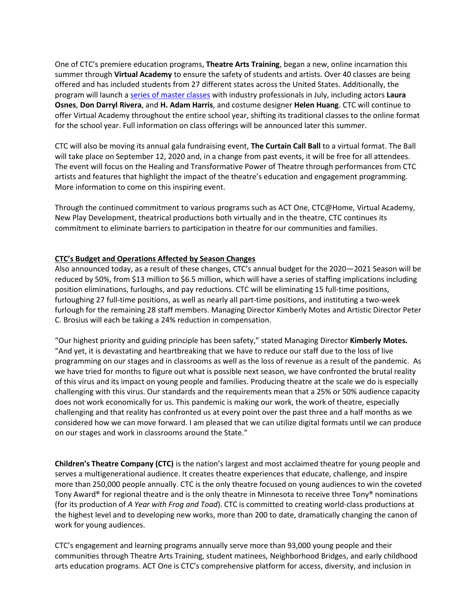One of CTC's premiere education programs, **Theatre Arts Training**, began a new, online incarnation this summer through **Virtual Academy** to ensure the safety of students and artists. Over 40 classes are being offered and has included students from 27 different states across the United States. Additionally, the program will launch a [series of master classes](https://childrenstheatre.org/whats-on/masterclasses/) with industry professionals in July, including actors **Laura Osnes**, **Don Darryl Rivera**, and **H. Adam Harris**, and costume designer **Helen Huang**. CTC will continue to offer Virtual Academy throughout the entire school year, shifting its traditional classes to the online format for the school year. Full information on class offerings will be announced later this summer.

CTC will also be moving its annual gala fundraising event, **The Curtain Call Ball** to a virtual format. The Ball will take place on September 12, 2020 and, in a change from past events, it will be free for all attendees. The event will focus on the Healing and Transformative Power of Theatre through performances from CTC artists and features that highlight the impact of the theatre's education and engagement programming. More information to come on this inspiring event.

Through the continued commitment to various programs such as ACT One, CTC@Home, Virtual Academy, New Play Development, theatrical productions both virtually and in the theatre, CTC continues its commitment to eliminate barriers to participation in theatre for our communities and families.

## **CTC's Budget and Operations Affected by Season Changes**

Also announced today, as a result of these changes, CTC's annual budget for the 2020—2021 Season will be reduced by 50%, from \$13 million to \$6.5 million, which will have a series of staffing implications including position eliminations, furloughs, and pay reductions. CTC will be eliminating 15 full-time positions, furloughing 27 full-time positions, as well as nearly all part-time positions, and instituting a two-week furlough for the remaining 28 staff members. Managing Director Kimberly Motes and Artistic Director Peter C. Brosius will each be taking a 24% reduction in compensation.

"Our highest priority and guiding principle has been safety," stated Managing Director **Kimberly Motes.** "And yet, it is devastating and heartbreaking that we have to reduce our staff due to the loss of live programming on our stages and in classrooms as well as the loss of revenue as a result of the pandemic. As we have tried for months to figure out what is possible next season, we have confronted the brutal reality of this virus and its impact on young people and families. Producing theatre at the scale we do is especially challenging with this virus. Our standards and the requirements mean that a 25% or 50% audience capacity does not work economically for us. This pandemic is making our work, the work of theatre, especially challenging and that reality has confronted us at every point over the past three and a half months as we considered how we can move forward. I am pleased that we can utilize digital formats until we can produce on our stages and work in classrooms around the State."

**Children's Theatre Company (CTC)** is the nation's largest and most acclaimed theatre for young people and serves a multigenerational audience. It creates theatre experiences that educate, challenge, and inspire more than 250,000 people annually. CTC is the only theatre focused on young audiences to win the coveted Tony Award® for regional theatre and is the only theatre in Minnesota to receive three Tony® nominations (for its production of *A Year with Frog and Toad*). CTC is committed to creating world-class productions at the highest level and to developing new works, more than 200 to date, dramatically changing the canon of work for young audiences.

CTC's engagement and learning programs annually serve more than 93,000 young people and their communities through Theatre Arts Training, student matinees, Neighborhood Bridges, and early childhood arts education programs. ACT One is CTC's comprehensive platform for access, diversity, and inclusion in